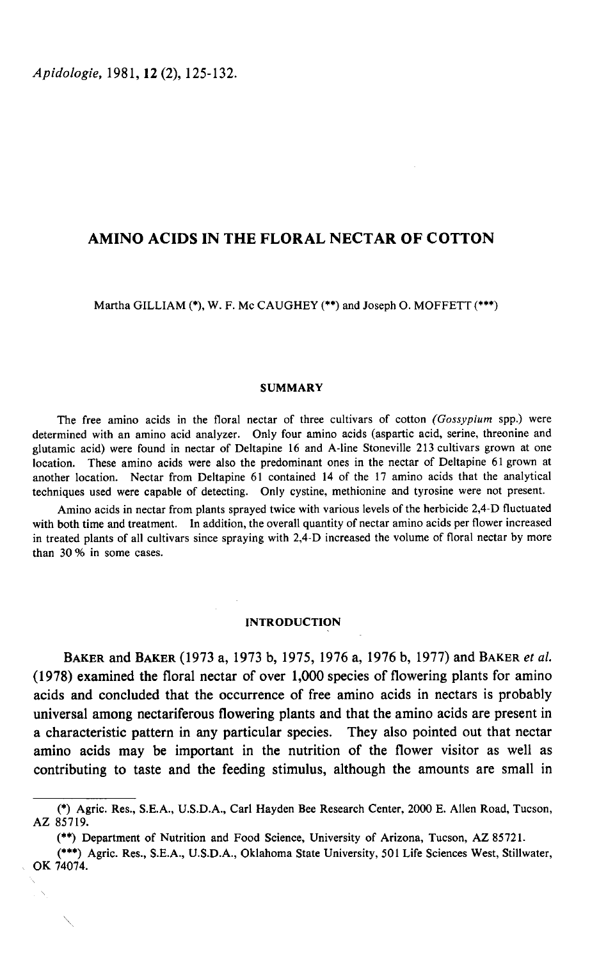Apidologie, 1981, 12 (2), 125-132.

# AMINO ACIDS IN THE FLORAL NECTAR OF COTTON

Martha GILLIAM (\*), W. F. Mc CAUGHEY (\*\*) and Joseph O. MOFFETT (\*\*\*)

#### SUMMARY

The free amino acids in the floral nectar of three cultivars of cotton (Gossypium spp.) were determined with an amino acid analyzer. Only four amino acids (aspartic acid, serine, threonine and glutamic acid) were found in nectar of Deltapine 16 and A-line Stoneville 213 cultivars grown at one location. These amino acids were also the predominant ones in the nectar of Deltapine 61 grown at another location. Nectar from Deltapine 61 contained 14 of the 17 amino acids that the analytical techniques used were capable of detecting. Only cystine, methionine and tyrosine were not present.

Amino acids in nectar from plants sprayed twice with various levels of the herbicide 2,4-D fluctuated with both time and treatment. In addition, the overall quantity of nectar amino acids per flower increased in treated plants of all cultivars since spraying with 2,4-D increased the volume of floral nectar by more than 30 % in some cases.

## INTRODUCTION

BAKER and BAKER (1973 a, 1973 b, 1975, 1976 a, 1976 b, 1977) and BAKER et al. (1978) examined the floral nectar of over 1,000 species of flowering plants for amino acids and concluded that the occurrence of free amino acids in nectars is probably universal among nectariferous flowering plants and that the amino acids are present in a characteristic pattern in any particular species. They also pointed out that nectar amino acids may be important in the nutrition of the flower visitor as well as contributing to taste and the feeding stimulus, although the amounts are small in (\*\*) Department of Nutrition and Food Science, University, 501 Life Sciences West, Stillw (\*) Agric. Res., S.E.A., U.S.D.A., Carl Hayden Bee Research Center, 2000 E. Allen Road, Tucson, 1. 1.1.2.1.1.2.1.1.2.1.1.2.1.1.2.1.1

<sup>(\*)</sup> Agric. Res., S.E.A., U.S.D.A., Carl Hayden Bee Research Center, 2000 E. Allen Road, Tucson, AZ 85719.

<sup>(\*\*)</sup> Department of Nutrition and Food Science, University of Arizona, Tucson, AZ 85721.<br>(\*\*\*) Agric. Res., S.E.A., U.S.D.A., Oklahoma State University, 501 Life Sciences West, Stillwater, OK 74074.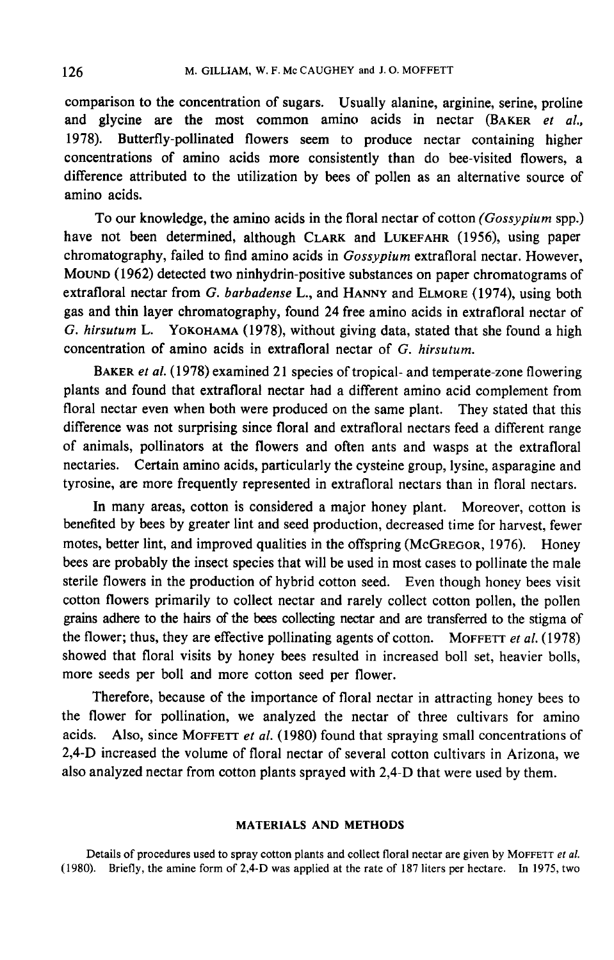comparison to the concentration of sugars. Usually alanine, arginine, serine, proline comparison to the concentration of sugars. Usually alanine, arginine, serine, proline<br>and glycine are the most common amino acids in nectar (BAKER et al.,<br>1978). Butterfu pollinated flowers seem to produce postage containi 1978). Butterfly-pollinated flowers seem to produce nectar containing higher concentrations of amino acids more consistently than do bee-visited flowers, a difference attributed to the utilization by bees of pollen as an alternative source of amino acids.

To our knowledge, the amino acids in the floral nectar of cotton (Gossypium spp.) have not been determined, although CLARK and LUKEFAHR (1956), using paper chromatography, failed to find amino acids in Gossypium extrafloral nectar. However, MOUND (1962) detected two ninhydrin-positive substances on paper chromatograms of have not been determined, although CLARK and LUKEFAHR (1956), using paper<br>chromatography, failed to find amino acids in *Gossypium* extrafloral nectar. However,<br>MOUND (1962) detected two ninhydrin-positive substances on pa gas and thin layer chromatography, found 24 free amino acids in extrafloral nectar of extrafloral nectar from G. barbadense L., and HANNY and ELMORE (1974), using both gas and thin layer chromatography, found 24 free amino acids in extrafloral nectar of G. hirsutum L. YOKOHAMA (1978), without giving data, concentration of amino acids in extrafloral nectar of G. hirsutum.

BAKER et al. (1978) examined 21 species of tropical- and temperate-zone flowering plants and found that extrafloral nectar had a different amino acid complement from floral nectar even when both were produced on the same plant. They stated that this difference was not surprising since floral and extrafloral nectars feed a different range of animals, pollinators at the flowers and often ants and wasps at the extrafloral nectaries. Certain amino acids, particularly the cysteine group, lysine, asparagine and tyrosine, are more frequently represented in extrafloral nectars than in floral nectars.

In many areas, cotton is considered a major honey plant. Moreover, cotton is benefited by bees by greater lint and seed production, decreased time for harvest, fewer motes, better lint, and improved qualities in the offspring (McGREGOR, 1976). Honey bees are probably the insect species that will be used in most cases to pollinate the male sterile flowers in the production of hybrid cotton seed. Even though honey bees visit cotton flowers primarily to collect nectar and rarely collect cotton pollen, the pollen grains adhere to the hairs of the bees collecting nectar and are transferred to the stigma of sterile flowers in the production of hybrid cotton seed. Even though honey bees visit cotton flowers primarily to collect nectar and rarely collect cotton pollen, the pollen grains adhere to the hairs of the bees collectin showed that floral visits by honey bees resulted in increased boll set, heavier bolls, more seeds per boll and more cotton seed per flower.

Therefore, because of the importance of floral nectar in attracting honey bees to the flower for pollination, we analyzed the nectar of three cultivars for amino more seeds per boll and more cotton seed per flower.<br>Therefore, because of the importance of floral nectar in attracting honey bees to<br>the flower for pollination, we analyzed the nectar of three cultivars for amino<br>acids. 2,4-D increased the volume of floral nectar of several cotton cultivars in Arizona, we also analyzed nectar from cotton plants sprayed with 2,4-D that were used by them.

# MATERIALS AND METHODS

Details of procedures used to spray cotton plants and collect floral nectar are given by MOFFETT et al. (1980). Briefly, the amine form of 2,4-D was applied at the rate of 187 liters per hectare. In 1975, two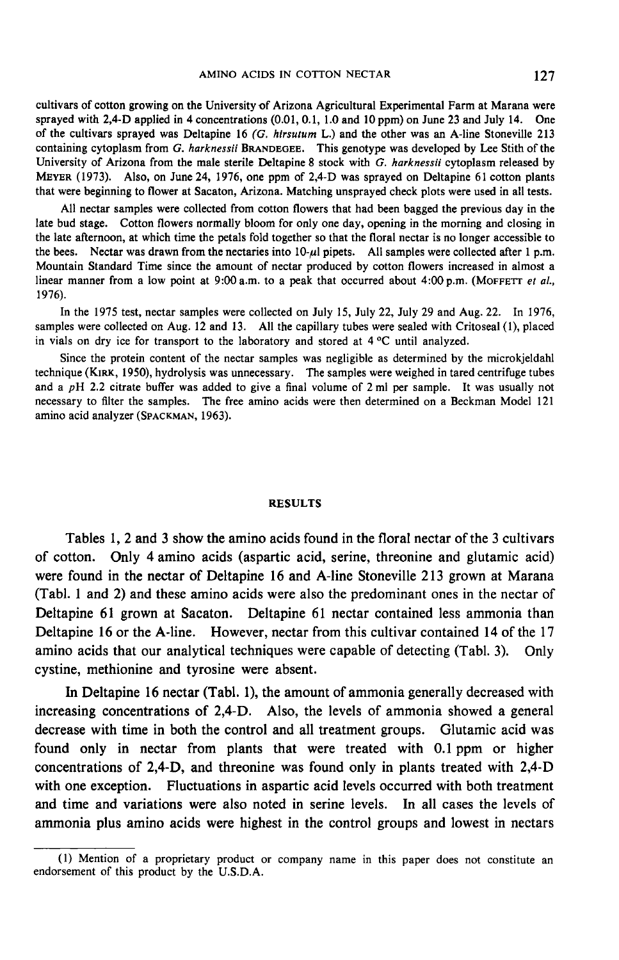cultivars of cotton growing on the University of Arizona Agricultural Experimental Farm at Marana were sprayed with 2,4-D applied in 4 concentrations (0.01, 0.1, 1.0 and 10 ppm) on June 23 and July 14. One of the cultivars sprayed was Deltapine 16 (G. hirsutum L.) and the other was an A-line Stoneville 213 AMINO ACIDS IN COTTON NECTAR 127<br>cultivars of cotton growing on the University of Arizona Agricultural Experimental Farm at Marana were<br>sprayed with 2,4-D applied in 4 concentrations (0.01, 0.1, 1.0 and 10 ppm) on June 23 containing cytoplasm from G. harknessii BRANDEGEE. This genotype was developed by Lee Stith of the University of Arizona from the male sterile Deltapine 8 stock with G. harknessii cytoplasm released by MEYER (1973). Also, that were beginning to flower at Sacaton, Arizona. Matching unsprayed check plots were used in all tests.

All nectar samples were collected from cotton flowers that had been bagged the previous day in the late bud stage. Cotton flowers normally bloom for only one day, opening in the morning and closing in the late afternoon, at which time the petals fold together so that the floral nectar is no longer accessible to the bees. Nectar was drawn from the nectaries into  $10-\mu l$  pipets. All samples were collected after 1 p.m. Mountain Standard Time since the amount of nectar produced by cotton flowers increased in almost a linear manner from a low point at  $9:00$  a.m. to a peak that occurred about  $4:00$  p.m. (MOFFETT et al., 1976).

In the 1975 test, nectar samples were collected on July 15, July 22, July 29 and Aug. 22. In 1976, samples were collected on Aug. 12 and 13. All the capillary tubes were sealed with Critoseal (1), placed in vials on dry ice for transport to the laboratory and stored at 4 °C until analyzed.

Since the protein content of the nectar samples was negligible as determined by the microkjeldahl technique (KIRK, 1950), hydrolysis was unnecessary. The samples were weighed in tared centrifuge tubes and a pH 2.2 citrate buffer was added to give a final volume of 2 ml per sample. It was usually not necessary to filter the samples. The free amino acids were then determined on a Beckman Model 121 amino acid analyzer (SPACKMAN, 1963). amino acid analyzer (SPACKMAN, 1963).<br>Since the protein content of the nectar<br>technique (KIRK, 1950), hydrolysis was unneed a  $pH$  2.2 citrate buffer was added to g<br>necessary to filter the samples. The free an<br>amino acid

### RESULTS

Tables 1, 2 and 3 show the amino acids found in the floral nectar of the 3 cultivars of cotton. Only 4 amino acids (aspartic acid, serine, threonine and glutamic acid) were found in the nectar of Deltapine 16 and A-line Stoneville 213 grown at Marana (Tabl. 1 and 2) and these amino acids were also the predominant ones in the nectar of Deltapine 61 grown at Sacaton. Deltapine 61 nectar contained less ammonia than Deltapine 16 or the A-line. However, nectar from this cultivar contained 14 of the 17 amino acids that our analytical techniques were capable of detecting (Tabl. 3). Only cystine, methionine and tyrosine were absent.

In Deltapine 16 nectar (Tabl. 1), the amount of ammonia generally decreased with increasing concentrations of 2,4-D. Also, the levels of ammonia showed a general decrease with time in both the control and all treatment groups. Glutamic acid was found only in nectar from plants that were treated with 0.1 ppm or higher concentrations of 2,4-D, and threonine was found only in plants treated with 2,4-D with one exception. Fluctuations in aspartic acid levels occurred with both treatment and time and variations were also noted in serine levels. In all cases the levels of ammonia plus amino acids were highest in the control groups and lowest in nectars

<sup>(1)</sup> Mention of a proprietary product or company name in this paper does not constitute an endorsement of this product by the U.S.D.A.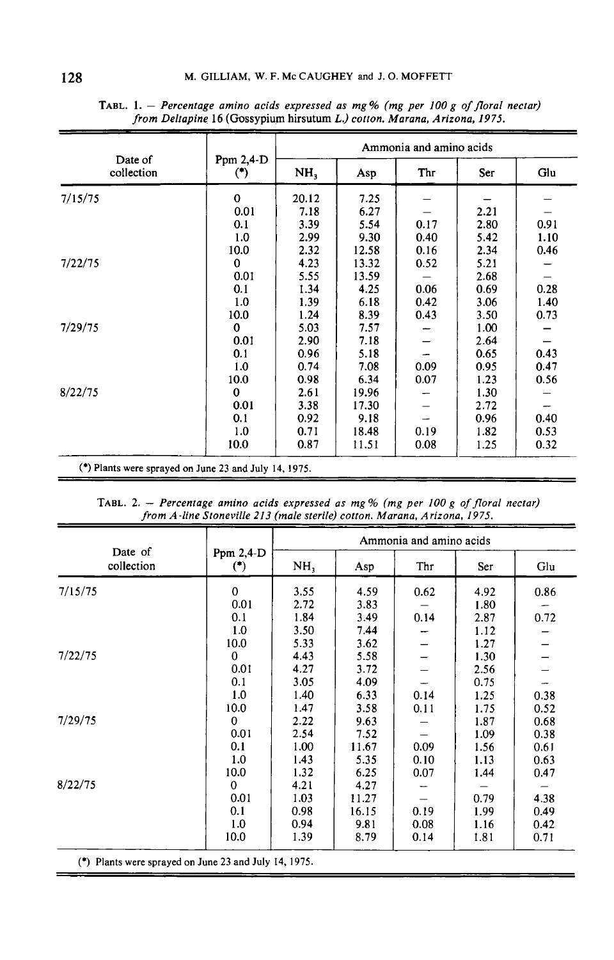| Date of<br>collection                                 | Ppm $2,4$ -D<br>( | Ammonia and amino acids |       |      |      |      |  |
|-------------------------------------------------------|-------------------|-------------------------|-------|------|------|------|--|
|                                                       |                   | NH <sub>3</sub>         | Asp   | Thr  | Ser  | Glu  |  |
| 7/15/75                                               | $\mathbf 0$       | 20.12                   | 7.25  |      |      |      |  |
|                                                       | 0.01              | 7.18                    | 6.27  |      | 2.21 |      |  |
|                                                       | 0.1               | 3.39                    | 5.54  | 0.17 | 2.80 | 0.91 |  |
|                                                       | 1.0               | 2.99                    | 9.30  | 0.40 | 5.42 | 1.10 |  |
|                                                       | 10.0              | 2.32                    | 12.58 | 0.16 | 2.34 | 0.46 |  |
| 7/22/75                                               | $\bf{0}$          | 4.23                    | 13.32 | 0.52 | 5.21 |      |  |
|                                                       | 0.01              | 5.55                    | 13.59 |      | 2.68 |      |  |
|                                                       | 0.1               | 1.34                    | 4.25  | 0.06 | 0.69 | 0.28 |  |
|                                                       | 1.0               | 1.39                    | 6.18  | 0.42 | 3.06 | 1.40 |  |
|                                                       | 10.0              | 1.24                    | 8.39  | 0.43 | 3.50 | 0.73 |  |
| 7/29/75                                               | $\bf{0}$          | 5.03                    | 7.57  |      | 1.00 |      |  |
|                                                       | 0.01              | 2.90                    | 7.18  |      | 2.64 |      |  |
|                                                       | 0.1               | 0.96                    | 5.18  |      | 0.65 | 0.43 |  |
|                                                       | 1.0               | 0.74                    | 7.08  | 0.09 | 0.95 | 0.47 |  |
|                                                       | 10.0              | 0.98                    | 6.34  | 0.07 | 1.23 | 0.56 |  |
| 8/22/75                                               | $\Omega$          | 2.61                    | 19.96 |      | 1.30 |      |  |
|                                                       | 0.01              | 3.38                    | 17.30 |      | 2.72 |      |  |
|                                                       | 0.1               | 0.92                    | 9.18  |      | 0.96 | 0.40 |  |
|                                                       | 1.0               | 0.71                    | 18.48 | 0.19 | 1.82 | 0.53 |  |
|                                                       | 10.0              | 0.87                    | 11.51 | 0.08 | 1.25 | 0.32 |  |
| (*) Plants were sprayed on June 23 and July 14, 1975. |                   |                         |       |      |      |      |  |

TABL. 1. - Percentage amino acids expressed as mg% (mg per 100 g of floral nectar) from Deltapine 16 (Gossypium hirsutum L.) cotton. Marana, Arizona, 1975.

TABL. 2. - Percentage amino acids expressed as mg % (mg per 100 g of floral nectar) from A-line Stoneville 213 (male sterile) cotton. Marana, Arizona, 1975.

| Date of<br>collection                                 |                   | Ammonia and amino acids |       |      |      |      |  |
|-------------------------------------------------------|-------------------|-------------------------|-------|------|------|------|--|
|                                                       | Ppm $2,4$ -D<br>( | NH,                     | Asp   | Thr  | Ser  | Glu  |  |
| 7/15/75                                               | $\mathbf 0$       | 3.55                    | 4.59  | 0.62 | 4.92 | 0.86 |  |
|                                                       | 0.01              | 2.72                    | 3.83  |      | 1.80 |      |  |
|                                                       | 0.1               | 1.84                    | 3.49  | 0.14 | 2.87 | 0.72 |  |
|                                                       | 1.0               | 3.50                    | 7.44  |      | 1.12 |      |  |
|                                                       | 10.0              | 5.33                    | 3.62  |      | 1.27 |      |  |
| 7/22/75                                               | 0                 | 4.43                    | 5.58  |      | 1.30 |      |  |
|                                                       | 0.01              | 4.27                    | 3.72  |      | 2.56 |      |  |
|                                                       | 0.1               | 3.05                    | 4.09  |      | 0.75 |      |  |
|                                                       | 1.0               | 1.40                    | 6.33  | 0.14 | 1.25 | 0.38 |  |
|                                                       | 10.0              | 1.47                    | 3.58  | 0.11 | 1.75 | 0.52 |  |
| 7/29/75                                               | 0                 | 2.22                    | 9.63  |      | 1.87 | 0.68 |  |
|                                                       | 0.01              | 2.54                    | 7.52  |      | 1.09 | 0.38 |  |
|                                                       | 0.1               | 1.00                    | 11.67 | 0.09 | 1.56 | 0.61 |  |
|                                                       | 1.0               | 1.43                    | 5.35  | 0.10 | 1.13 | 0.63 |  |
|                                                       | 10.0              | 1.32                    | 6.25  | 0.07 | 1.44 | 0.47 |  |
| 8/22/75                                               | $\mathbf 0$       | 4.21                    | 4.27  |      |      |      |  |
|                                                       | 0.01              | 1.03                    | 11.27 |      | 0.79 | 4.38 |  |
|                                                       | 0.1               | 0.98                    | 16.15 | 0.19 | 1.99 | 0.49 |  |
|                                                       | 1.0               | 0.94                    | 9.81  | 0.08 | 1.16 | 0.42 |  |
|                                                       | 10.0              | 1.39                    | 8.79  | 0.14 | 1.81 | 0.71 |  |
| (*) Plants were sprayed on June 23 and July 14, 1975. |                   |                         |       |      |      |      |  |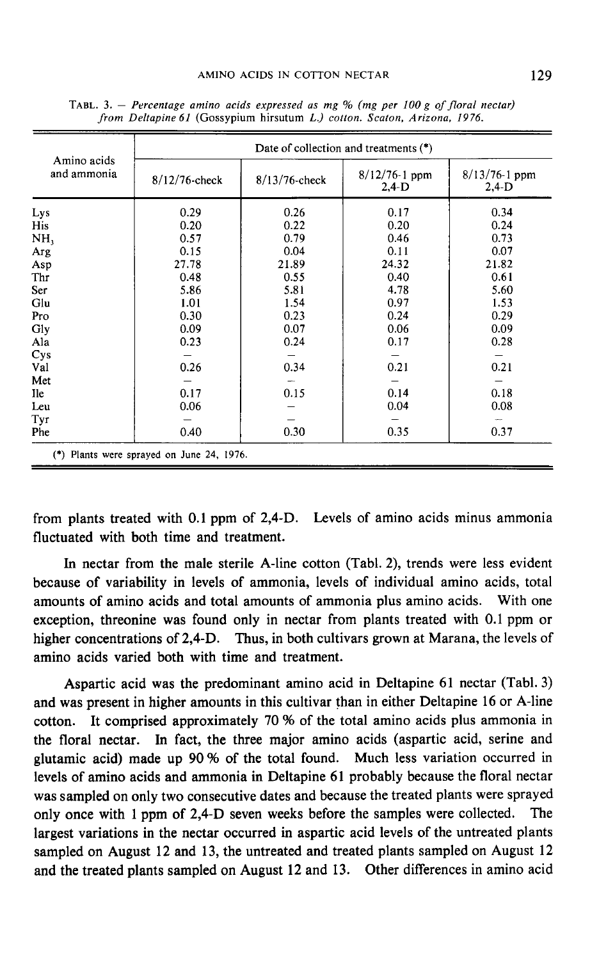| Amino acids<br>and ammonia | Date of collection and treatments $(*)$ |                  |                               |                              |  |  |  |
|----------------------------|-----------------------------------------|------------------|-------------------------------|------------------------------|--|--|--|
|                            | $8/12/76$ -check                        | $8/13/76$ -check | $8/12/76 - 1$ ppm<br>$2,4$ -D | $8/13/76-1$ ppm<br>$2,4 - D$ |  |  |  |
| Lys                        | 0.29                                    | 0.26             | 0.17                          | 0.34                         |  |  |  |
| <b>His</b>                 | 0.20                                    | 0.22             | 0.20                          | 0.24                         |  |  |  |
| NH,                        | 0.57                                    | 0.79             | 0.46                          | 0.73                         |  |  |  |
| Arg                        | 0.15                                    | 0.04             | 0.11                          | 0.07                         |  |  |  |
| Asp                        | 27.78                                   | 21.89            | 24.32                         | 21.82                        |  |  |  |
| Thr                        | 0.48                                    | 0.55             | 0.40                          | 0.61                         |  |  |  |
| Ser                        | 5.86                                    | 5.81             | 4.78                          | 5.60                         |  |  |  |
| Glu                        | 1.01                                    | 1.54             | 0.97                          | 1.53                         |  |  |  |
| Pro                        | 0.30                                    | 0.23             | 0.24                          | 0.29                         |  |  |  |
| Gly                        | 0.09                                    | 0.07             | 0.06                          | 0.09                         |  |  |  |
| Ala                        | 0.23                                    | 0.24             | 0.17                          | 0.28                         |  |  |  |
| Cys                        |                                         |                  |                               |                              |  |  |  |
| Val                        | 0.26                                    | 0.34             | 0.21                          | 0.21                         |  |  |  |
| Met                        |                                         |                  |                               |                              |  |  |  |
| <b>Ile</b>                 | 0.17                                    | 0.15             | 0.14                          | 0.18                         |  |  |  |
| Leu                        | 0.06                                    |                  | 0.04                          | 0.08                         |  |  |  |
| Tyr                        |                                         |                  |                               |                              |  |  |  |
| <b>Phe</b>                 | 0.40                                    | 0.30             | 0.35                          | 0.37                         |  |  |  |

TABL. 3. - Percentage amino acids expressed as mg % (mg per 100 g of floral nectar) from Deltapine 61 (Gossypium hirsutum L.) cotton. Scaton, Arizona, 1976.

from plants treated with 0.1 ppm of 2,4-D. Levels of amino acids minus ammonia fluctuated with both time and treatment.

In nectar from the male sterile A-line cotton (Tabl. 2), trends were less evident because of variability in levels of ammonia, levels of individual amino acids, total amounts of amino acids and total amounts of ammonia plus amino acids. With one exception, threonine was found only in nectar from plants treated with 0.1 ppm or higher concentrations of 2,4-D. Thus, in both cultivars grown at Marana, the levels of amino acids varied both with time and treatment.

Aspartic acid was the predominant amino acid in Deltapine 61 nectar (Tabl. 3) and was present in higher amounts in this cultivar than in either Deltapine 16 or A-line cotton. It comprised approximately 70 % of the total amino acids plus ammonia in the floral nectar. In fact, the three major amino acids (aspartic acid, serine and glutamic acid) made up  $90\%$  of the total found. Much less variation occurred in levels of amino acids and ammonia in Deltapine 61 probably because the floral nectar was sampled on only two consecutive dates and because the treated plants were sprayed only once with 1 ppm of 2,4-D seven weeks before the samples were collected. The largest variations in the nectar occurred in aspartic acid levels of the untreated plants sampled on August 12 and 13, the untreated and treated plants sampled on August 12 and the treated plants sampled on August 12 and 13. Other differences in amino acid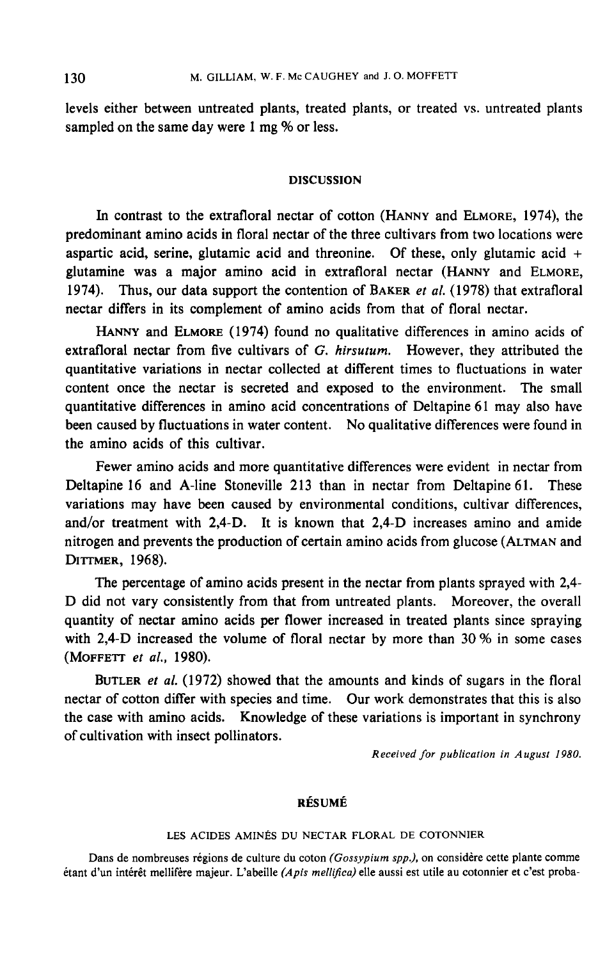levels either between untreated plants, treated plants, or treated vs. untreated plants sampled on the same day were 1 mg % or less.

### DISCUSSION

DISCUSSION<br>In contrast to the extrafloral nectar of cotton (HANNY and ELMORE, 1974), the<br>predominant amino acids in floral nectar of the three cultivars from two locations were aspartic acid, serine, glutamic acid and threonine. Of these, only glutamic acid + In contrast to the extrafloral nectar of cotton (HANNY and ELMORE, 1974), the predominant amino acids in floral nectar of the three cultivars from two locations were aspartic acid, serine, glutamic acid and threonine. Of 1974). Thus, our data support the contention of BAKER *et al.* (1978) that extrafloral nectar differs in its complement of amino acids from that of floral nectar. Thus, our data support the contention of BAKER *et al.* (1978) that extrafloral r differs in its complement of amino acids from that of floral nectar.<br>HANNY and ELMORE (1974) found no qualitative differences in amino acid

extrafloral nectar from five cultivars of G. hirsutum. However, they attributed the quantitative variations in nectar collected at different times to fluctuations in water content once the nectar is secreted and exposed to the environment. The small quantitative differences in amino acid concentrations of Deltapine 61 may also have been caused by fluctuations in water content. No qualitative differences were found in the amino acids of this cultivar.

Fewer amino acids and more quantitative differences were evident in nectar from Deltapine 16 and A-line Stoneville 213 than in nectar from Deltapine 61. These variations may have been caused by environmental conditions, cultivar differences, and/or treatment with 2,4-D. It is known that 2,4-D increases amino and amide<br>nitrogen and prevents the production of certain amino acids from glucose (ALTMAN and variations may ha<br>and/or treatment v<br>nitrogen and prever<br>DITTMER, 1968).<br>The nercentag

The percentage of amino acids present in the nectar from plants sprayed with 2,4- D did not vary consistently from that from untreated plants. Moreover, the overall quantity of nectar amino acids per flower increased in treated plants since spraying with 2,4-D increased the volume of floral nectar by more than  $30\%$  in some cases (MOFFETT *et al.*, 1980).

BUTLER et al. (1972) showed that the amounts and kinds of sugars in the floral nectar of cotton differ with species and time. Our work demonstrates that this is also the case with amino acids. Knowledge of these variations is important in synchrony of cultivation with insect pollinators.

Received for publication in August 1980.

# RÉSUMÉ

# LES ACIDES AMINÉS DU NECTAR FLORAL DE COTONNIER

Dans de nombreuses régions de culture du coton (Gossypium spp.), on considère cette plante comme étant d'un intérêt mellifère majeur. L'abeille (Apis mellifica) elle aussi est utile au cotonnier et c'est proba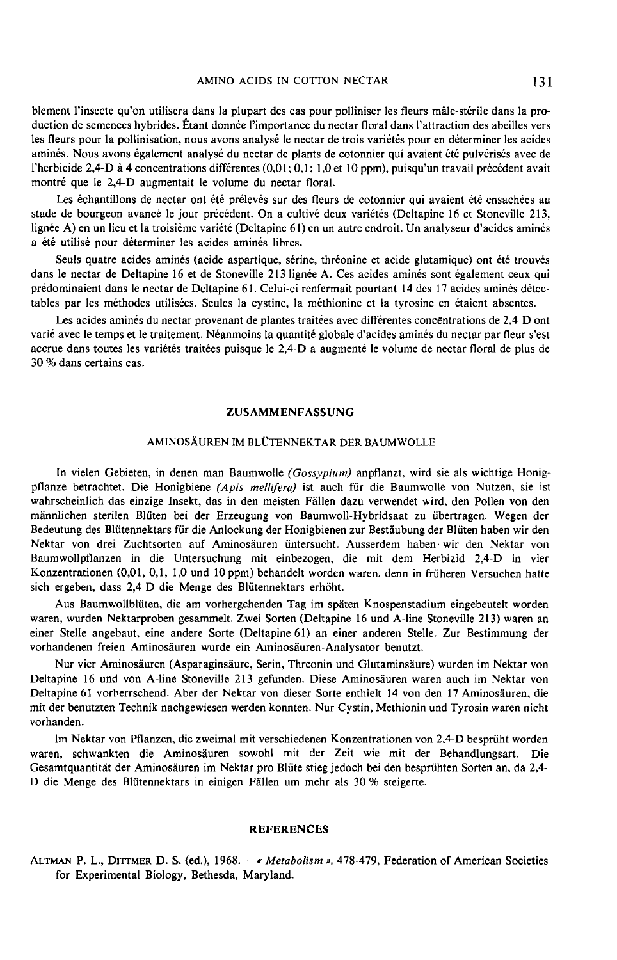blement l'insecte qu'on utilisera dans la plupart des cas pour polliniser les fleurs mâle-stérile dans la production de semences hybrides. Étant donnée l'importance du nectar floral dans l'attraction des abeilles vers les fleurs pour la pollinisation, nous avons analysé le nectar de trois variétés pour en déterminer les acides aminés. Nous avons également analysé du nectar de plants de cotonnier qui avaient été pulvérisés avec de l'herbicide 2,4-D à 4 concentrations différentes (0,01; 0,1; 1,0 et 10 ppm), puisqu'un travail précédent avait montré que le 2,4-D augmentait le volume du nectar floral.

Les échantillons de nectar ont été prélevés sur des fleurs de cotonnier qui avaient été ensachées au stade de bourgeon avancé le jour précédent. On a cultivé deux variétés (Deltapine 16 et Stoneville 213, lignée A) en un lieu et la troisième variété (Deltapine 61) en un autre endroit. Un analyseur d'acides aminés a été utilisé pour déterminer les acides aminés libres.

Seuls quatre acides aminés (acide aspartique, sérine, thréonine et acide glutamique) ont été trouvés dans le nectar de Deltapine 16 et de Stoneville 213 lignée A. Ces acides aminés sont également ceux qui prédominaient dans le nectar de Deltapine 61. Celui-ci renfermait pourtant 14 des 17 acides aminés détectables par les méthodes utilisées. Seules la cystine, la méthionine et la tyrosine en étaient absentes.

Les acides aminés du nectar provenant de plantes traitées avec différentes concentrations de 2,4-D ont varié avec le temps et le traitement. Néanmoins la quantité globale d'acides aminés du nectar par fleur s'est accrue dans toutes les variétés traitées puisque le 2,4-D a augmenté le volume de nectar floral de plus de 30 % dans certains cas.

### ZUSAMMENFASSUNG

#### AMINOSÄUREN IM BLÜTENNEKTAR DER BAUMWOLLE

In vielen Gebieten, in denen man Baumwolle (Gossypium) anpflanzt, wird sie als wichtige Honigpflanze betrachtet. Die Honigbiene (Apis mellifera) ist auch für die Baumwolle von Nutzen, sie ist wahrscheinlich das einzige Insekt, das in den meisten Fällen dazu verwendet wird, den Pollen von den männlichen sterilen Blüten bei der Erzeugung von Baumwoll-Hybridsaat zu übertragen. Wegen der Bedeutung des Blütennektars für die Anlockung der Honigbienen zur Bestäubung der Blüten haben wir den Nektar von drei Zuchtsorten auf Aminosäuren üntersucht. Ausserdem haben. wir den Nektar von Baumwollpflanzen in die Untersuchung mit einbezogen, die mit dem Herbizid 2,4-D in vier Konzentrationen (0,01, 0,1, I,0 und lOppm) behandelt worden waren, denn in früheren Versuchen hatte sich ergeben, dass 2,4-D die Menge des Blütennektars erhöht.

Aus Baumwollblüten, die am vorhergehenden Tag im späten Knospenstadium eingebeutelt worden waren, wurden Nektarproben gesammelt. Zwei Sorten (Deltapine 16 und A-line Stoneville 213) waren an einer Stelle angebaut, eine andere Sorte (Deltapine 61) an einer anderen Stelle. Zur Bestimmung der vorhandenen freien Aminosäuren wurde ein Aminosäuren-Analysator benutzt.

Nur vier Aminosäuren (Asparaginsäure, Serin, Threonin und Glutaminsäure) wurden im Nektar von Deltapine 16 und von A-line Stoneville 213 gefunden. Diese Aminosäuren waren auch im Nektar von Deltapine 61 vorherrschend. Aber der Nektar von dieser Sorte enthielt 14 von den 17 Aminosäuren, die mit der benutzten Technik nachgewiesen werden konnten. Nur Cystin, Methionin und Tyrosin waren nicht vorhanden.

Im Nektar von Pflanzen, die zweimal mit verschiedenen Konzentrationen von 2,4-D besprüht worden waren, schwankten die Aminosäuren sowohl mit der Zeit wie mit der Behandlungsart. Die D die Menge des Blütennektars in einigen Fällen um mehr als 30 % steigerte.

#### REFERENCES

ALTMAN P. L., DITTMER D. S. (ed.), 1968. - « Metabolism », 478-479, Federation of American Societies for Experimental Biology, Bethesda, Maryland.